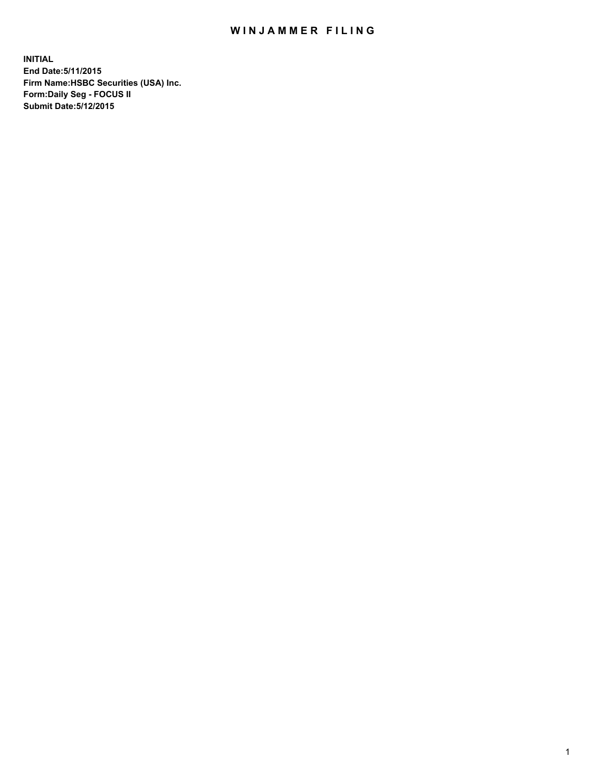## WIN JAMMER FILING

**INITIAL End Date:5/11/2015 Firm Name:HSBC Securities (USA) Inc. Form:Daily Seg - FOCUS II Submit Date:5/12/2015**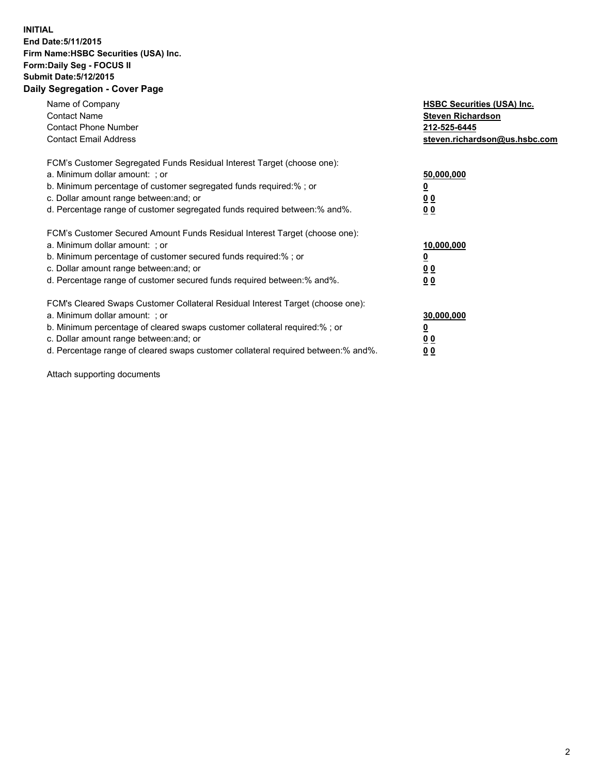## **INITIAL End Date:5/11/2015 Firm Name:HSBC Securities (USA) Inc. Form:Daily Seg - FOCUS II Submit Date:5/12/2015 Daily Segregation - Cover Page**

| Name of Company<br><b>Contact Name</b><br><b>Contact Phone Number</b><br><b>Contact Email Address</b>                                                                                                                                                                                                                          | <b>HSBC Securities (USA) Inc.</b><br><b>Steven Richardson</b><br>212-525-6445<br>steven.richardson@us.hsbc.com |
|--------------------------------------------------------------------------------------------------------------------------------------------------------------------------------------------------------------------------------------------------------------------------------------------------------------------------------|----------------------------------------------------------------------------------------------------------------|
| FCM's Customer Segregated Funds Residual Interest Target (choose one):<br>a. Minimum dollar amount: ; or<br>b. Minimum percentage of customer segregated funds required:%; or<br>c. Dollar amount range between: and; or<br>d. Percentage range of customer segregated funds required between: % and %.                        | 50,000,000<br>0 <sub>0</sub><br>0 <sub>0</sub>                                                                 |
| FCM's Customer Secured Amount Funds Residual Interest Target (choose one):<br>a. Minimum dollar amount: ; or<br>b. Minimum percentage of customer secured funds required:%; or<br>c. Dollar amount range between: and; or<br>d. Percentage range of customer secured funds required between:% and%.                            | 10,000,000<br><u>0</u><br>0 <sub>0</sub><br>0 <sub>0</sub>                                                     |
| FCM's Cleared Swaps Customer Collateral Residual Interest Target (choose one):<br>a. Minimum dollar amount: ; or<br>b. Minimum percentage of cleared swaps customer collateral required:% ; or<br>c. Dollar amount range between: and; or<br>d. Percentage range of cleared swaps customer collateral required between:% and%. | 30,000,000<br>00<br><u>00</u>                                                                                  |

Attach supporting documents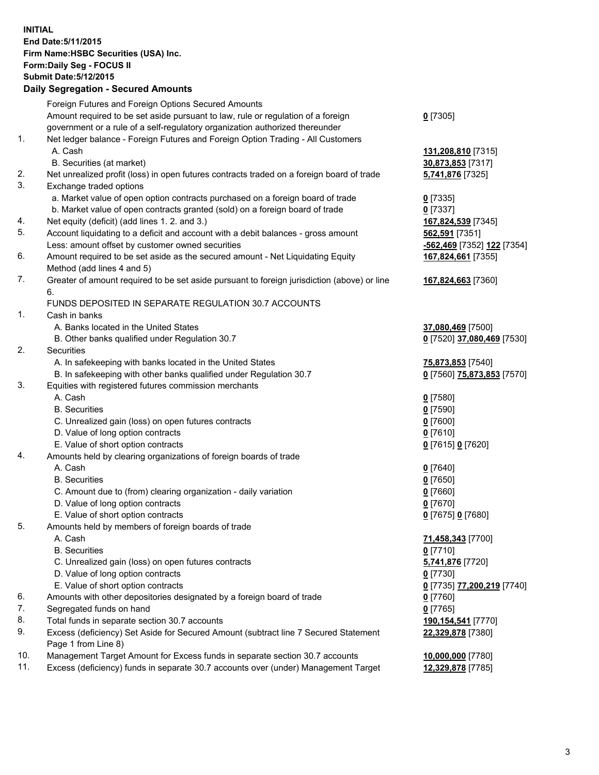**INITIAL End Date:5/11/2015 Firm Name:HSBC Securities (USA) Inc. Form:Daily Seg - FOCUS II Submit Date:5/12/2015 Daily Segregation - Secured Amounts**

Foreign Futures and Foreign Options Secured Amounts Amount required to be set aside pursuant to law, rule or regulation of a foreign government or a rule of a self-regulatory organization authorized thereunder **0** [7305] 1. Net ledger balance - Foreign Futures and Foreign Option Trading - All Customers A. Cash **131,208,810** [7315] B. Securities (at market) **30,873,853** [7317] 2. Net unrealized profit (loss) in open futures contracts traded on a foreign board of trade **5,741,876** [7325] 3. Exchange traded options a. Market value of open option contracts purchased on a foreign board of trade **0** [7335] b. Market value of open contracts granted (sold) on a foreign board of trade **0** [7337] 4. Net equity (deficit) (add lines 1. 2. and 3.) **167,824,539** [7345] 5. Account liquidating to a deficit and account with a debit balances - gross amount **562,591** [7351] Less: amount offset by customer owned securities **-562,469** [7352] **122** [7354] 6. Amount required to be set aside as the secured amount - Net Liquidating Equity Method (add lines 4 and 5) **167,824,661** [7355] 7. Greater of amount required to be set aside pursuant to foreign jurisdiction (above) or line 6. **167,824,663** [7360] FUNDS DEPOSITED IN SEPARATE REGULATION 30.7 ACCOUNTS 1. Cash in banks A. Banks located in the United States **37,080,469** [7500] B. Other banks qualified under Regulation 30.7 **0** [7520] **37,080,469** [7530] 2. Securities A. In safekeeping with banks located in the United States **75,873,853** [7540] B. In safekeeping with other banks qualified under Regulation 30.7 **0** [7560] **75,873,853** [7570] 3. Equities with registered futures commission merchants A. Cash **0** [7580] B. Securities **0** [7590] C. Unrealized gain (loss) on open futures contracts **0** [7600] D. Value of long option contracts **0** [7610] E. Value of short option contracts **0** [7615] **0** [7620] 4. Amounts held by clearing organizations of foreign boards of trade A. Cash **0** [7640] B. Securities **0** [7650] C. Amount due to (from) clearing organization - daily variation **0** [7660] D. Value of long option contracts **0** [7670] E. Value of short option contracts **0** [7675] **0** [7680] 5. Amounts held by members of foreign boards of trade A. Cash **71,458,343** [7700] B. Securities **0** [7710] C. Unrealized gain (loss) on open futures contracts **5,741,876** [7720] D. Value of long option contracts **0** [7730] E. Value of short option contracts **0** [7735] **77,200,219** [7740] 6. Amounts with other depositories designated by a foreign board of trade **0** [7760] 7. Segregated funds on hand **0** [7765] 8. Total funds in separate section 30.7 accounts **190,154,541** [7770] 9. Excess (deficiency) Set Aside for Secured Amount (subtract line 7 Secured Statement Page 1 from Line 8) **22,329,878** [7380] 10. Management Target Amount for Excess funds in separate section 30.7 accounts **10,000,000** [7780] 11. Excess (deficiency) funds in separate 30.7 accounts over (under) Management Target **12,329,878** [7785]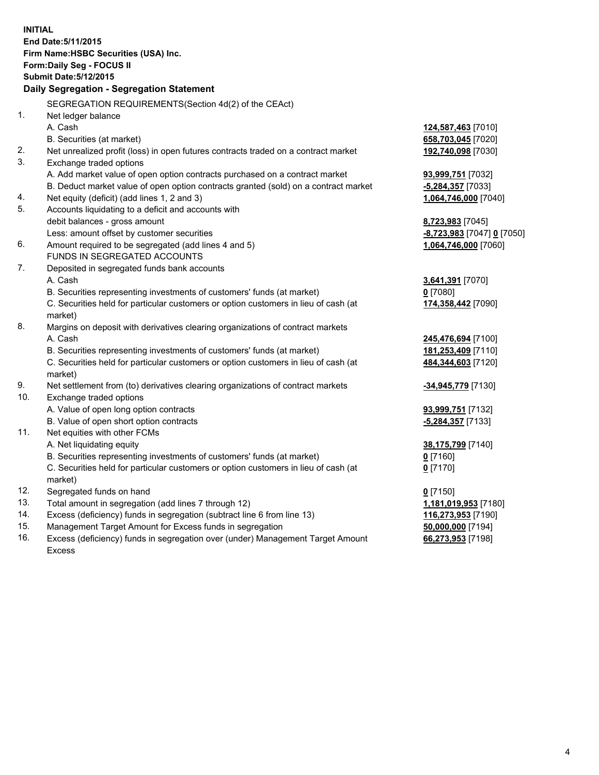| <b>INITIAL</b> | End Date: 5/11/2015<br>Firm Name: HSBC Securities (USA) Inc.<br>Form: Daily Seg - FOCUS II<br><b>Submit Date: 5/12/2015</b> |                            |
|----------------|-----------------------------------------------------------------------------------------------------------------------------|----------------------------|
|                | Daily Segregation - Segregation Statement                                                                                   |                            |
|                | SEGREGATION REQUIREMENTS(Section 4d(2) of the CEAct)                                                                        |                            |
| 1.             | Net ledger balance                                                                                                          |                            |
|                | A. Cash                                                                                                                     | 124,587,463 [7010]         |
|                | B. Securities (at market)                                                                                                   | 658,703,045 [7020]         |
| 2.             | Net unrealized profit (loss) in open futures contracts traded on a contract market                                          | 192,740,098 [7030]         |
| 3.             | Exchange traded options                                                                                                     |                            |
|                | A. Add market value of open option contracts purchased on a contract market                                                 | 93,999,751 [7032]          |
|                | B. Deduct market value of open option contracts granted (sold) on a contract market                                         | $-5,284,357$ [7033]        |
| 4.             | Net equity (deficit) (add lines 1, 2 and 3)                                                                                 | 1,064,746,000 [7040]       |
| 5.             | Accounts liquidating to a deficit and accounts with                                                                         |                            |
|                | debit balances - gross amount                                                                                               | 8,723,983 [7045]           |
|                | Less: amount offset by customer securities                                                                                  | -8,723,983 [7047] 0 [7050] |
| 6.             | Amount required to be segregated (add lines 4 and 5)                                                                        | 1,064,746,000 [7060]       |
|                | FUNDS IN SEGREGATED ACCOUNTS                                                                                                |                            |
| 7.             | Deposited in segregated funds bank accounts                                                                                 |                            |
|                | A. Cash                                                                                                                     | 3,641,391 [7070]           |
|                | B. Securities representing investments of customers' funds (at market)                                                      | $0$ [7080]                 |
|                | C. Securities held for particular customers or option customers in lieu of cash (at<br>market)                              | 174,358,442 [7090]         |
| 8.             | Margins on deposit with derivatives clearing organizations of contract markets                                              |                            |
|                | A. Cash                                                                                                                     | 245,476,694 [7100]         |
|                | B. Securities representing investments of customers' funds (at market)                                                      | 181,253,409 [7110]         |
|                | C. Securities held for particular customers or option customers in lieu of cash (at<br>market)                              | 484,344,603 [7120]         |
| 9.             | Net settlement from (to) derivatives clearing organizations of contract markets                                             | -34,945,779 [7130]         |
| 10.            | Exchange traded options                                                                                                     |                            |
|                | A. Value of open long option contracts                                                                                      | 93,999,751 [7132]          |
|                | B. Value of open short option contracts                                                                                     | -5,284,357 [7133]          |
| 11.            | Net equities with other FCMs                                                                                                |                            |
|                | A. Net liquidating equity                                                                                                   | 38,175,799 [7140]          |
|                | B. Securities representing investments of customers' funds (at market)                                                      | $0$ [7160]                 |
|                | C. Securities held for particular customers or option customers in lieu of cash (at<br>market)                              | $0$ [7170]                 |
| 12.            | Segregated funds on hand                                                                                                    | $0$ [7150]                 |
| 13.            | Total amount in segregation (add lines 7 through 12)                                                                        | 1,181,019,953 [7180]       |
| 14.            | Excess (deficiency) funds in segregation (subtract line 6 from line 13)                                                     | 116,273,953 [7190]         |
| 15.            | Management Target Amount for Excess funds in segregation                                                                    | 50,000,000 [7194]          |
| 16.            | Excess (deficiency) funds in segregation over (under) Management Target Amount                                              | 66,273,953 [7198]          |
|                | Excess                                                                                                                      |                            |